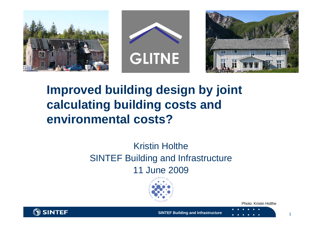

## **Improved building design by joint calculating building costs and environmental costs?**

### Kristin HoltheSINTEF Building and Infrastructure 11 June 2009



Photo: Kristin Holthe

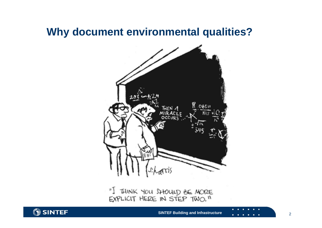### **Why document environmental qualities?**



"I THINK YOU SHOULD BE MORE<br>EXPLICIT HERE IN STEP TWO."

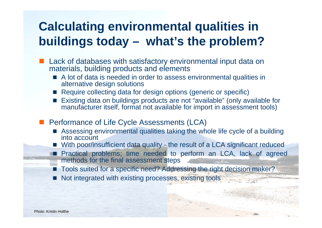## **Calculating environmental qualities in buildings today – what's the problem?**

- Lack of databases with satisfactory environmental input data on materials, building products and elements
	- A lot of data is needed in order to assess environmental qualities in alternative design solutions
	- Require collecting data for design options (generic or specific)
	- <u>r </u> Existing data on buildings products are not "available" (only available for manufacturer itself, format not available for import in assessment tools)
- Performance of Life Cycle Assessments (LCA)
	- Assessing environmental qualities taking the whole life cycle of a building into account
	- $\overline{\phantom{a}}$ With poor/insufficient data quality - the result of a LCA significant reduced
	- Ħ Practical problems; time needed to perform an LCA, lack of agreed methods for the final assessment steps

- $\overline{\phantom{a}}$ Tools suited for a specific need? Addressing the right decision maker?
- $\overline{\phantom{a}}$ Not integrated with existing processes, existing tools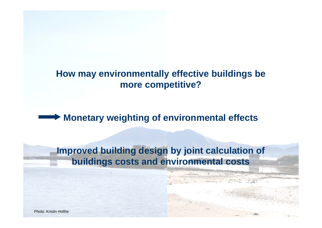#### **How may environmentally effective buildings be more competitive?**

**Monetary weighting of environmental effects**

**Improved building design by joint calculation of buildings costs and environmental costs**

**SINTEF Building and Infrastructure** <sup>4</sup>

Photo: Kristin Holthe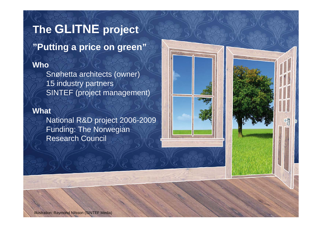## **The GLITNE project**

**"Putting a price on green"**

#### **Who**

Snøhetta architects (owner) 15 industry partners SINTEF (project management)

#### **What**

National R&D project 2006-2009 Funding: The Norwegian Research Council

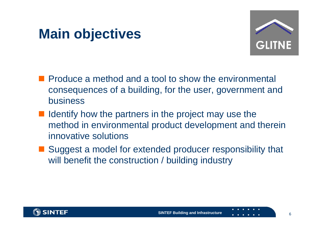# **Main objectives**



- Produce a method and a tool to show the environmental consequences of a building, for the user, government and business
- p. Identify how the partners in the project may use the method in environmental product development and therein innovative solutions
- T. Suggest a model for extended producer responsibility that will benefit the construction / building industry

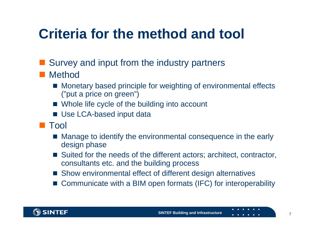# **Criteria for the method and tool**

- Survey and input from the industry partners
- Method
	- Monetary based principle for weighting of environmental effects ("put a price on green")
	- Whole life cycle of the building into account
	- Use LCA-based input data
- **Tool** 
	- Manage to identify the environmental consequence in the early design phase
	- Suited for the needs of the different actors; architect, contractor, consultants etc. and the building process
	- Show environmental effect of different design alternatives
	- Communicate with a BIM open formats (IFC) for interoperability

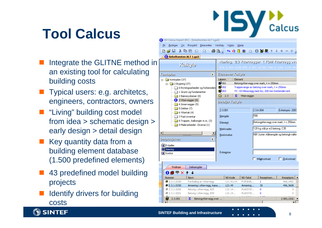# **Tool Calcus**

- Integrate the GLITNE method in an existing tool for calculating building costs
- Typical users: e.g. architetcs, engineers, contractors, owners
- "Living" building cost model from idea > schematic design > early design > detail design
- $\blacksquare$  Key quantity data from a building element database (1.500 predefined elements)
- 43 predefined model building projects
- Identify drivers for building costs



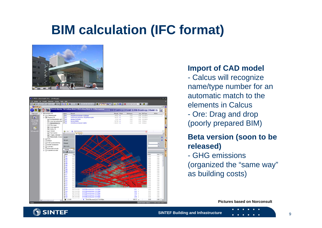## **BIM calculation (IFC format)**



| <b>O</b> FB RIB.ga3                                                                               | C G-PROG Calcus Expert (IFC) [FB RIB.ga3]<br>H Redger Vs Prosjekt Elementer<br><b>Verktay</b><br>60<br>$D \cdot B \perp D \cap B \perp 2 \cdot 2$                                                                                                                                                                                                                                                                                                                                                                                                       | Vicito Hielp                                                                                                                                                                                                                                                                                                           |                                                                                                                                                                                                                                                                                     | 1% xy 日 8 □ ◎ 3 <sup>参</sup> ァ 1 + - + 【图 □□□□□ 【△ △ <del>◎</del> 【E Standard prote · 】                                                                                                                                 |                                                                               |                                                             |                                                          | <b>A</b>                                                                                  |                                                                                                                                                                                                                                                                                                                                                                                                               | $-8$                                        |
|---------------------------------------------------------------------------------------------------|---------------------------------------------------------------------------------------------------------------------------------------------------------------------------------------------------------------------------------------------------------------------------------------------------------------------------------------------------------------------------------------------------------------------------------------------------------------------------------------------------------------------------------------------------------|------------------------------------------------------------------------------------------------------------------------------------------------------------------------------------------------------------------------------------------------------------------------------------------------------------------------|-------------------------------------------------------------------------------------------------------------------------------------------------------------------------------------------------------------------------------------------------------------------------------------|-------------------------------------------------------------------------------------------------------------------------------------------------------------------------------------------------------------------------|-------------------------------------------------------------------------------|-------------------------------------------------------------|----------------------------------------------------------|-------------------------------------------------------------------------------------------|---------------------------------------------------------------------------------------------------------------------------------------------------------------------------------------------------------------------------------------------------------------------------------------------------------------------------------------------------------------------------------------------------------------|---------------------------------------------|
| 語<br>Σ                                                                                            |                                                                                                                                                                                                                                                                                                                                                                                                                                                                                                                                                         |                                                                                                                                                                                                                                                                                                                        |                                                                                                                                                                                                                                                                                     | Elementredigering Rib frontbygg (Model-1) Rib frontbygg (Model-1), 2.2 Darresystemer                                                                                                                                    |                                                                               | Rib frontbygg (Model-1) Rib frontbygg (Model-1)             |                                                          |                                                                                           |                                                                                                                                                                                                                                                                                                                                                                                                               | $\mathbf{1}$                                |
| Delprosjekt<br>$\overline{\mathbf{r}}$<br><b>TANKING</b><br><b>WALKS</b><br><b>Nytt delproser</b> | E M Kontopian (19)<br>₽ □ 1 Felleskostnader<br>$\frac{1}{10}$ $\frac{100}{20}$ $\frac{20}{20}$ (iii)<br>0 Rivningsarbeider og fc<br>1 Grunn og fundamenter<br>2 Daeresystemer (S)<br>3 Yittervegger<br>14 Innervegger (2)<br>(ii) 5 Dekker (9)<br>G Yttertak<br>7 Fast inventar<br>B Trapper, balkonger m.<br>9 Malerarbeider, Diverse<br>₽ □ 3 WS<br>$+$ $ +$ $B$ raft<br>S Tele og autonatisering<br>ŵ<br>6 Andre installasioner<br>ŵ<br>2 Tubendars<br>۰<br>8 Generele kostnader<br>÷<br>in C1 9 Spesielle kostneder<br>$\left  \cdot \right $<br>15 | Lepere.<br>$\oplus$ pot<br>$\mathcal{B}$ and<br>$\mathfrak{B}_{003}$<br>$\circledR$ 004<br>$B$ oos<br>022<br>$\left  \cdot \right $<br>22.001<br>Menade<br>Element<br>Merknader<br>Printinger<br>◎母                                                                                                                    | Element<br>Sti):GESRanstruksjoner-Sjo(jFByler<br>Betong-Slodebyler<br><b>Betong-Stellur</b><br>Sti/dESikonstruksjoner--Bjelker<br>D fire tegning<br><b>IFC Tegning</b><br>Del                                                                                                       | Pref sbriverte elementer-SOXIES&pervepeler                                                                                                                                                                              | Menade Enhet<br>$374,22$ m<br>160,32 m<br>$37,15$ m<br>567.86 m<br>1.405,93 m | <b>Enhetspris</b><br>0,00<br>0,00<br>0.00<br>0.00<br>11,001 | 0.00<br>0.00<br>0.00                                     | Sun IFC Type<br>NeColumn<br>0,00 třečokem<br><b>YeCokenn</b><br>:Fcfinam<br>0.00 fictions | IFD Nr<br>×<br>$\overline{\mathbf{v}}$                                                                                                                                                                                                                                                                                                                                                                        | gab<br><b>REVISION</b><br>٠<br>٠<br>88<br>ā |
|                                                                                                   |                                                                                                                                                                                                                                                                                                                                                                                                                                                                                                                                                         | Lepens<br>$%$ con<br>$\oplus$ 002<br>∰ ண<br><b>99 004</b><br><b>第005</b><br><b>\$006</b><br><b>第007</b><br><b>BR 000</b><br>⊞ 009<br><b>第010</b><br><b>部 011</b><br><b>第012</b><br>∰отэ<br>®on4<br>∰ oi5<br><b>Bots</b><br>98 or z<br>∰ ote<br>密or9<br>∰αzo<br>98 azt<br>$\oplus$ 022<br>$\mathfrak{B}$ 023<br>6 22001 | Org<br>OFC<br>(IFC)<br>(IFC)<br><b>IIEC</b><br>(IFC)<br><b>IIFC</b><br>(IFC)<br>(IFC)<br>(IFC)<br>(IFC)<br><b>GEC</b><br><b>OFC</b><br>(IFC)<br>(IFC)<br>(IFC)<br>(IFC)<br><b>OFC</b><br>OEC<br>(IFC) SIVAES.<br>(IFC) SIVOLES.<br>(IFC) SIVAES.<br>(IFC) SIVAES.<br>(IFC) SIVALES. | SIVAE58construk.sjoner-SVAFB,der<br>SIV/VE58:onstruk.sjoner-SV/VFB,der<br>SIV/VE5ikonstruk.sjoner-SV/VFB,der<br>SIVAE58construk.sjoner-SVAFByler<br>SIVAE58construk.sjoner-SVAFB,der<br>T: SIVAESkonstruksioner-SVAFBde |                                                                               | ÷<br>1.07<br>374,22 m                                       | $3.61$ m<br>$3.44 - m$<br>$2.58$ m<br>$\sim$<br>$2,58$ m |                                                                                           | Sum<br>Mapris<br>0.00<br>0.00<br>0.00<br>0.00<br>0.00<br>0.00<br>0.00<br>0.00<br>0.00<br>0.00<br>0.00<br>0.00<br>0.00<br>0.00<br>0.00<br>0.00<br>0.00<br>0.00<br>0.00<br>0.00<br>0.00<br>0.00<br>0.00<br>0.00<br>0.00<br>0.00<br>0.00<br>0.00<br>0.00<br>0.00<br>0.00<br>0.00<br>0.00<br>0.00<br>0.00<br>0.00<br>0.00<br>0.00<br>0.00<br>0.00<br>0.00<br>0.00<br>0.00<br>0.00<br>0.00<br>0.00<br>0.00<br>0.00 | $\sim$<br>ĝ<br>$\overline{\phantom{a}}$     |

#### **Import of CAD model**

- Calcus will recognize name/type number for an automatic match to the elements in Calcus - Ore: Drag and drop (poorly prepared BIM)

**Beta version (soon to be released)** 

- GHG emissions (organized the "same way" as building costs)

**Pictures based on Norconsult**

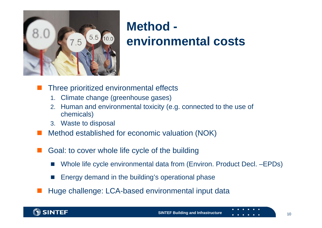

## **Method environmental costs**

- Three prioritized environmental effects
	- 1. Climate change (greenhouse gases)
	- 2. Human and environmental toxicity (e.g. connected to the use of chemicals)
	- 3. Waste to disposal
- Method established for economic valuation (NOK)
- Goal: to cover whole life cycle of the building
	- o. Whole life cycle environmental data from (Environ. Product Decl. –EPDs)
	- o. Energy demand in the building's operational phase
- Huge challenge: LCA-based environmental input data

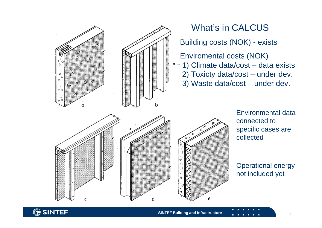

Building costs (NOK) - exists What's in CALCUS

Enviromental costs (NOK)  $-$  1) Climate data/cost – data exists 2) Toxicty data/cost – under dev. 3) Waste data/cost – under dev.

> Environmental data connected to specific cases are collected

Operational energy not included yet



e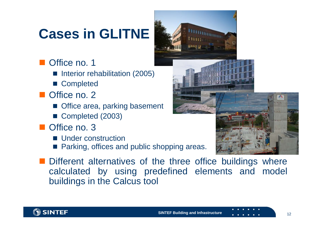# **Cases in GLITNE**

### **Office no. 1**

- **Interior rehabilitation (2005)**
- Completed
- **Office no. 2** 
	- Office area, parking basement
	- Completed (2003)
- **Office no. 3** 
	- **Under construction**
	- Parking, offices and public shopping areas.
- **Different alternatives of the three office buildings where** calculated by using predefined elements and model buildings in the Calcus tool



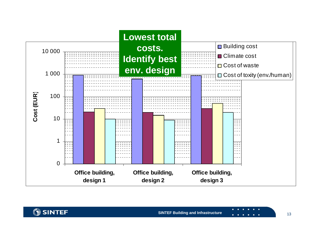

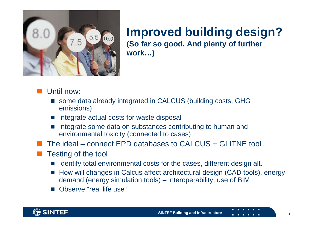

### **Improved building design? (So far so good. And plenty of further work…)**

- Until now:
	- some data already integrated in CALCUS (building costs, GHG emissions)
	- o. Integrate actual costs for waste disposal
	- o. Integrate some data on substances contributing to human and environmental toxicity (connected to cases)
- The ideal – connect EPD databases to CALCUS + GLITNE tool

#### Testing of the tool

- Identify total environmental costs for the cases, different design alt.
- m, How will changes in Calcus affect architectural design (CAD tools), energy demand (energy simulation tools) – interoperability, use of BIM
- Observe "real life use"

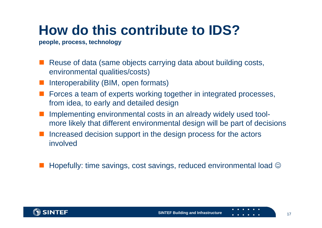# **How do this contribute to IDS?**

**people, process, technology**

- Reuse of data (same objects carrying data about building costs, environmental qualities/costs)
- Interoperability (BIM, open formats)
- Forces a team of experts working together in integrated processes, from idea, to early and detailed design
- **STATE**  Implementing environmental costs in an already widely used toolmore likely that different environmental design will be part of decisions
- Increased decision support in the design process for the actors involved
- Hopefully: time savings, cost savings, reduced environmental load  $\odot$